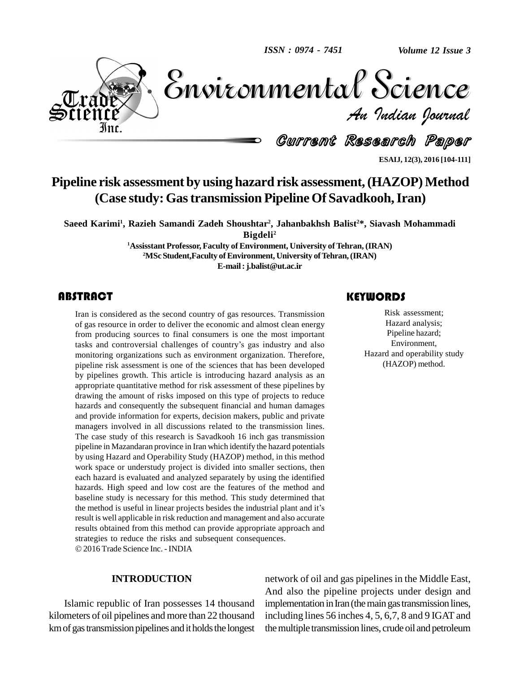*ISSN : 0974 - 7451*

*Volume 12 Issue 3*



Volume 12 Issue 3 *Indian Journal* Volume 12 Issue 3

Current Research Paper

**ESAIJ, 12(3), 2016 [104-111]**

# **Pipeline risk** assessment by using hazard **risk** assessment, (HAZOP) Method **(Case study:Gastransmission Pipeline Of Savadkooh,Iran)**

**Saeed Karimi<sup>1</sup> , Razieh Samandi Zadeh Shoushtar 2 , Jahanbakhsh Balist <sup>2</sup>\*, Siavash Mohammadi Bigdeli<sup>2</sup>**

> **<sup>1</sup>Assisstant Professor, Faculty of Environment, University ofTehran, (IRAN)** <sup>2</sup>MSc Student,Faculty of Environment, University of Tehran, (IRAN) **E-mail:[j.balist@ut.ac.ir](mailto:j.balist@ut.ac.ir)**

# **ABSTRACT**

Fraction 2<br>
Iran is considered as the<br>
of gas resource in order<br>
from producing sources Iran is considered as the second country of gas resources. Transmission of gas resource in order to deliver the economic and almost clean energy from producing sources to final consumers is one the most important tasks and controversial challenges of country's gas industry and also monitoring organizations such as environment organization. Therefore, pipeline risk assessment is one of the sciences that has been developed by pipelines growth. This article is introducing hazard analysis as an appropriate quantitative method for risk assessment of these pipelines by drawing the amount of risks imposed on this type of projects to reduce hazards and consequently the subsequent financial and human damages and provide information for experts, decision makers, public and private managers involved in all discussions related to the transmission lines. The case study of this research is Savadkooh 16 inch gas transmission pipeline in Mazandaran province in Iran which identify the hazard potentials by using Hazard and Operability Study (HAZOP) method, in this method work space or understudy project is divided into smaller sections, then each hazard is evaluated and analyzed separately by using the identified hazards. High speed and low cost are the features of the method and baseline study is necessary for this method. This study determined that the method is useful in linear projects besides the industrial plant and it's result is well applicable in risk reduction and management and also accurate results obtained from this method can provide appropriate approach and strategies to reduce the risks and subsequent consequences. 2016 Trade Science Inc. - INDIA

#### **INTRODUCTION**

Islamic republic of Iran possesses 14 thousand kilometers of oil pipelines and more than 22 thousand km of gas transmission pipelines and it holds the longest

# **KEYWORDS**

Risk assessment<br>Hazard analysis;<br>Pipeline hazard; Risk assessment; Hazard analysis; Pipeline hazard; Environment, Hazard and operability study (HAZOP) method.

network of oil and gas pipelines in the Middle East, And also the pipeline projects under design and implementation in Iran (the main gas transmission lines, including lines 56 inches 4, 5, 6,7, 8 and 9 IGAT and themultiple transmission lines, crude oil and petroleum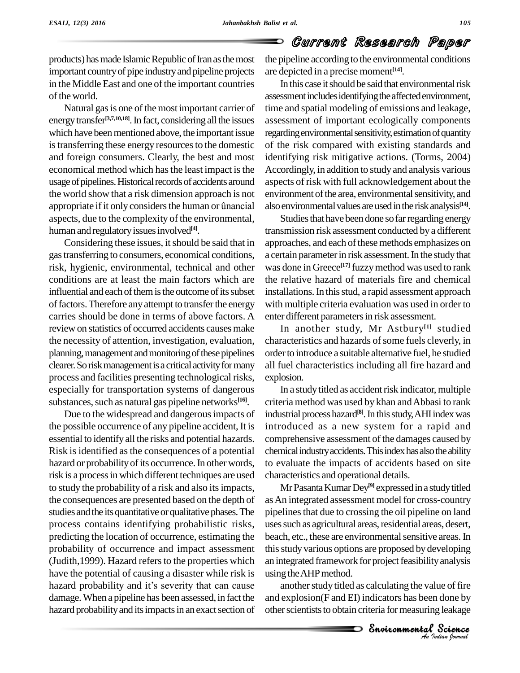O

# Current Research Paper

products) has made Islamic Republic of Iran as the most important country of pipe industry and pipeline projects in the Middle East and one of the important countries of the world.

Natural gas is one of the most important carrier of energy transfer<sup>[3,7,10,18]</sup>. In fact, considering all the issues asses which have been mentioned above, the important issue is transferring these energy resources to the domestic and foreign consumers. Clearly, the best and most economical method which has the least impact is the usage of pipelines. Historical records of accidents around aspects<br>the world show that a risk dimension approach is not enviror<br>appropriate if it only considers the human or ûnancial also env the world show that a risk dimension approach is not aspects, due to the complexity of the environmental, human and regulatory issues involved<sup>[4]</sup>.

Considering these issues, it should be said that in gastransferring to consumers, economical conditions, risk, hygienic, environmental, technical and other conditions are at least the main factors which are influential and each of them is the outcome of its subset of factors. Therefore any attempt to transfer the energy carries should be done in terms of above factors. A review on statistics of occurred accidents causes make the necessity of attention, investigation, evaluation, planning, management and monitoring of these pipelines clearer.Soriskmanagementisa criticalactivityformany process and facilities presenting technological risks, especially for transportation systems of dangerous substances, such as natural gas pipeline networks<sup>[16]</sup>. c

Due to the widespread and dangerousimpacts of the possible occurrence of any pipeline accident, It is essential to identify all the risks and potential hazards. Risk isidentified asthe consequences of a potential hazard or probability of its occurrence. In other words, risk isa processin which different techniques are used to study the probability of a risk and also itsimpacts, the consequences are presented based on the depth of studies and the its quantitative or qualitative phases. The process contains identifying probabilistic risks, predicting the location of occurrence, estimating the probability of occurrence and impact assessment (Judith, 1999). Hazard refers to the properties which have the potential of causing a disaster while risk is hazard probability and it's severity that can cause damage. When a pipeline has been assessed, in fact the hazard probability and its impacts in an exact section of the pipeline according to the environmental conditions are depicted in a precise moment **[14]**.

In this case it should be said that environmental risk assessment includes identifying the affected environment, time and spatial modeling of emissions and leakage, assessment of important ecologically components regarding environmental sensitivity, estimation of quantity of the risk compared with existing standards and identifying risk mitigative actions. (Torms, 2004) Accordingly, in addition to study and analysis various aspects of risk with full acknowledgement about the environment of the area, environmental sensitivity, and also environmental values are used in the risk analysis<sup>[14]</sup>.

Studies that have been done so far regarding energy transmission risk assessment conducted by a different approaches, and each of these methods emphasizes on a certain parameter in risk assessment. In the study that was done in Greece **[17]** fuzzymethod was used to rank the relative hazard of materials fire and chemical installations. In this stud, a rapid assessment approach with multiple criteria evaluation was used in order to enter different parameters in risk assessment.

In another study, Mr Astbury **[1]** studied characteristics and hazards of some fuels cleverly, in order to introduce a suitable alternative fuel, he studied all fuel characteristics including all fire hazard and explosion.

In a study titled as accident risk indicator, multiple criteria method was used by khan andAbbasi to rank industrial processhazard **[8]**.Inthisstudy,AHIindexwas introduced as a new system for a rapid and comprehensive assessment of the damages caused by chemical industry accidents. This index has also the ability to evaluate the impacts of accidents based on site characteristics and operational details.

an integrated framework for project feasibility analysis MrPasantaKumarDey **[9]** expressedina studytitled asAn integrated assessment model for cross-country pipelines that due to crossing the oil pipeline on land uses such as agricultural areas, residential areas, desert, beach, etc., these are environmental sensitive areas. In thisstudyvarious options are proposed by developing using theAHPmethod.

*I*<br>**I**<br>Indone by<br>Indian bound<br>Pudian bound *s* analysis<br>
ue of fire<br>
done by<br>
<u>s</u> leakage<br> **Science** another study titled as calculating the value of fire and explosion(F and EI) indicators has been done by other scientists to obtain criteria for measuring leakage

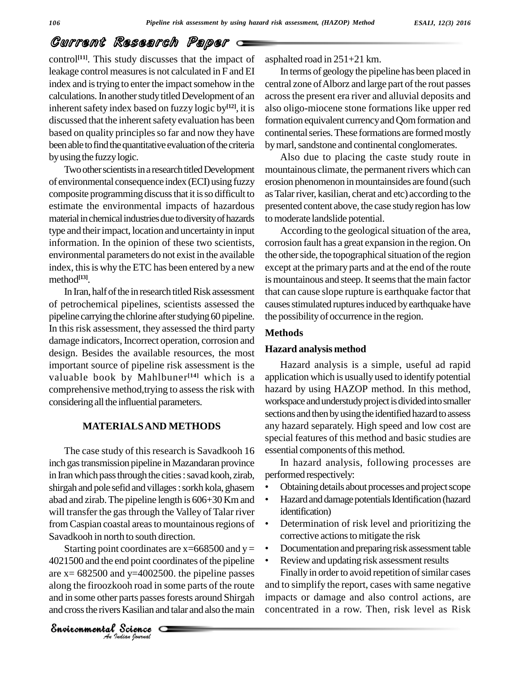# Current Research Paper

control<sup>[11]</sup>. This study discusses that the impact of aspl leakage control measures is not calculated in F and EI index and is trying to enter the impact somehow in the calculations. In another study titled Development of an inherent safety index based on fuzzy logic by<sup>[12]</sup>, it is also discussed that the inherent safety evaluation has been based on quality principles so far and now they have been able to find the quantitative evaluation of the criteria by using the fuzzy logic.

Two other scientists in a research titled Development of environmental consequence index (ECI) using fuzzy composite programming discuss that it is so difficult to estimate the environmental impacts of hazardous material in chemical industries due to diversity of hazards type and their impact, location and uncertainty in input information. In the opinion of these two scientists, environmental parameters do not exist in the available index, this is why the ETC has been entered by a new method **[13]**.

In Iran, half of the in research titled Risk assessment of petrochemical pipelines, scientists assessed the pipeline carrying the chlorine after studying 60 pipeline. In this risk assessment, they assessed the third party damage indicators, Incorrect operation, corrosion and design. Besides the available resources, the most important source of pipeline risk assessment is the valuable book by Mahlbuner **[14]** which is a comprehensive method, trying to assess the risk with considering all the influential parameters.

## **MATERIALSAND METHODS**

The case study of this research is Savadkooh 16 inch gas transmission pipeline in Mazandaran province in Iran which pass through the cities: savad kooh, zirab, shirgah and pole sefid and villages: sorkh kola, ghasem abad and zirab. The pipeline length is  $606+30$  Km and  $\bullet$ will transfer the gas through the Valley of Talar river from Caspian coastal areas to mountainous regions of Savadkooh in north to south direction.

4021500 and the end point coordinates of the pipeline  $\cdot$  Rand  $x = 682500$  and  $y=4002500$ . the pipeline passes Figure and to and in some other parts passes forests around Shirgah impact and cross the rivers Kasilian and Starting point coordinates are  $x=668500$  and  $y=$ are  $x= 682500$  and  $y=4002500$ . the pipeline passes along the firoozkooh road in some parts of the route and in some other parts passes forests around Shirgah and cross the rivers Kasilian and talar and also the main

asphalted road in 251+21 km.

In terms of geologythe pipeline has been placed in central zone of Alborz and large part of the rout passes acrossthe present era river and alluvial deposits and also oligo-miocene stone formations like upper red formation equivalent currency and Qom formation and continental series. These formations are formed mostly by marl, sandstone and continental conglomerates.

Also due to placing the caste study route in mountainous climate, the permanent rivers which can erosion phenomenon in mountainsides are found (such as Talar river, kasilian, cherat and etc) according to the presented content above, the case study region has low to moderate landslide potential.

According to the geological situation of the area, corrosion fault has a great expansion in the region. On the other side, the topographical situation of the region except at the primary parts and at the end of the route is mountainous and steep. It seems that the main factor that can cause slope rupture is earthquake factor that causes stimulated ruptures induced by earthquake have the possibility of occurrence in the region.

#### **Methods**

#### **Hazard analysis method**

Hazard analysis is a simple, useful ad rapid application which is usually used to identify potential hazard by using HAZOP method. In this method, workspace and understudy project is divided into smaller sections and then by using the identified hazard to assess any hazard separately. High speed and low cost are special features of this method and basic studies are essential components of this method.

In hazard analysis, following processes are<br>performed respectively: performed respectively:

- Obtaining details about processes and project scope
- Hazard and damage potentials Identification (hazard identification)
- Determination of risk level and prioritizing the corrective actions to mitigate the risk  $\bullet$
- Documentation and preparing risk assessment table
- Review and updating risk assessment results

Finally in order to avoid repetition of similar cases and to simplify the report, cases with same negative impacts or damage and also control actions, are concentrated in a row. Then, risk level as Risk

*Indian Journal*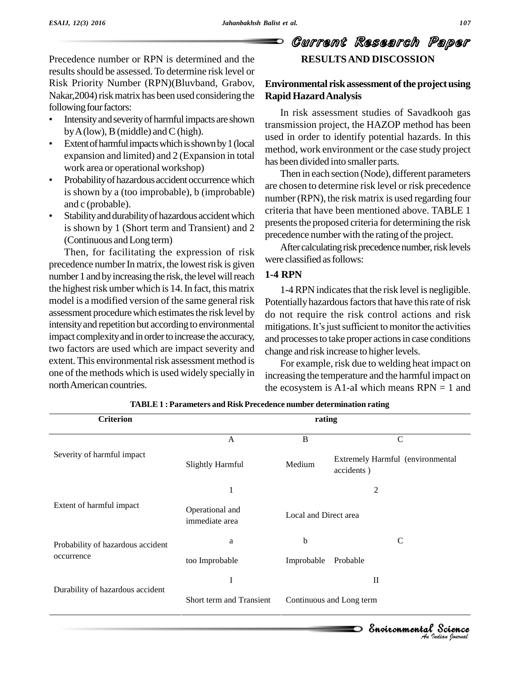Precedence number or RPN is determined and the results should be assessed. To determine risk level or Risk Priority Number (RPN)(Bluvband, Grabov, Nakar, 2004) risk matrix has been used considering the **Rapic** following four factors:

- Intensity and severity of harmful impacts are shown<br>by A (low), B (middle) and C (high).
- Extentofharmfulimpactswhichisshownby1(local expansion and limited) and 2 (Expansion in total<br>work area or operational workshop)
- Probability of hazardous accident occurrence which is shown by a (too improbable), b (improbable)  $\frac{\text{are}}{\text{num}}$
- Stability and durability of hazardous accident which is shown by 1 (Short term and Transient) and 2 (Continuous andLong term)

Then, for facilitating the expression of risk precedence number In matrix, the lowest risk is given number 1 and by increasing the risk, the level will reach the highest risk umber which is 14. In fact, this matrix model is a modified version of the same general risk assessment procedure which estimates the risk level by intensity and repetition but according to environmental mitigations. It's just sufficient to monitor the activities impact complexity and in order to increase the accuracy, two factors are used which are impact severity and extent. This environmental risk assessment method is one of the methods which isused widely specially in northAmerican countries.

# Current Research Paper **RESULTSAND DISCOSSION**

# **Environmental risk assessment of the project using Rapid HazardAnalysis**

In risk assessment studies of Savadkooh gas transmission project, the HAZOP method has been used in order to identify potential hazards. In this method, work environment or the case study project has been divided into smaller parts.

Then in each section (Node), different parameters are chosen to determine risk level or risk precedence number (RPN), the risk matrix is used regarding four criteria that have been mentioned above. TABLE 1 presents the proposed criteria for determining the risk precedence number with the rating of the project.

After calculating risk precedence number, risk levels were classified as follows:

# **1-4 RPN**

1-4 RPN indicates that the risk level is negligible. Potentially hazardous factors that have this rate of risk<br>do not require the risk control actions and risk<br>mitigations. It's just sufficient to monitor the activities do not require the risk control actions and risk and processes to take proper actions in case conditions change and risk increase to higher levels.

For example, risk due to welding heat impact on increasing the temperature and the harmful impact on the ecosystem is A1-aI which means  $RPN = 1$  and

| <b>Criterion</b>                  | rating                            |                          |                                                |  |  |  |  |
|-----------------------------------|-----------------------------------|--------------------------|------------------------------------------------|--|--|--|--|
|                                   | A                                 | B                        | $\mathcal{C}$                                  |  |  |  |  |
| Severity of harmful impact        | <b>Slightly Harmful</b>           | Medium                   | Extremely Harmful (environmental<br>accidents) |  |  |  |  |
|                                   | 1                                 | 2                        |                                                |  |  |  |  |
| Extent of harmful impact          | Operational and<br>immediate area | Local and Direct area    |                                                |  |  |  |  |
| Probability of hazardous accident | a                                 | b                        | $\mathsf{C}$                                   |  |  |  |  |
| occurrence                        | too Improbable                    | Improbable               | Probable                                       |  |  |  |  |
|                                   | I                                 |                          | $\mathbf{I}$                                   |  |  |  |  |
| Durability of hazardous accident  | Short term and Transient          | Continuous and Long term |                                                |  |  |  |  |
|                                   |                                   |                          | Environmental Science                          |  |  |  |  |

**TABLE 1 : Parameters and Risk Precedence number determination rating**

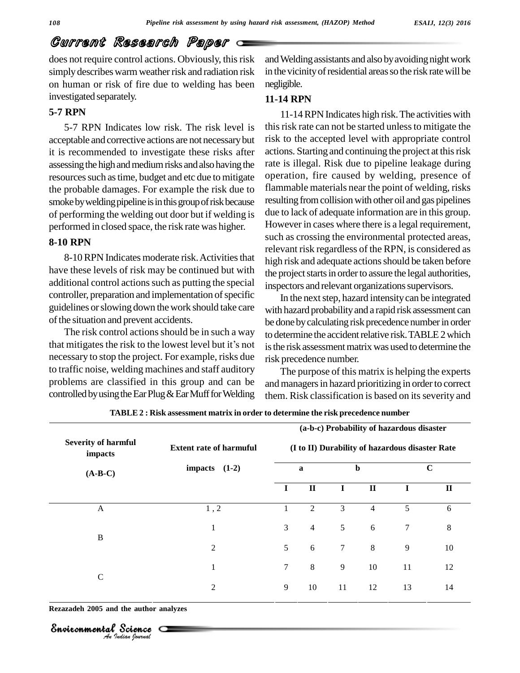# Current Research Paper

does not require control actions. Obviously, this risk simply describes warm weather risk and radiation risk on human or risk of fire due to welding has been investigated separately.

### **5-7 RPN**

5-7 RPN Indicates low risk. The risk level is acceptable and corrective actions are not necessarybut it is recommended to investigate these risks after assessing the high and medium risks and also having the resources such as time, budget and etc due to mitigate the probable damages. For example the risk due to smoke by welding pipeline is in this group of risk because of performing the welding out door but if welding is performed in closed space, the risk rate was higher.

## **8-10 RPN**

8-10 RPN Indicates moderate risk. Activities that have these levels of risk may be continued but with additional control actions such as putting the special controller, preparation and implementation of specific guidelines orslowing down the work should take care of the situation and prevent accidents.

The risk control actions should be in such a way that mitigates the risk to the lowest level but it's not necessary to stop the project. For example, risks due to traffic noise, welding machines and staff auditory problems are classified in this group and can be controlled by using the Ear Plug  $&$  Ear Muff for Welding

and Welding assistants and also by avoiding night work in the vicinity of residential areas so the risk rate will be negligible.

#### **11-14 RPN**

11-14RPNIndicates high risk.The activities with this risk rate can not be started unless to mitigate the risk to the accepted level with appropriate control actions. Starting and continuing the project at this risk rate is illegal. Risk due to pipeline leakage during operation, fire caused by welding, presence of flammable materials near the point of welding, risks resulting fromcollisionwith other oil and gas pipelines due to lack of adequate information are in this group. However in cases where there is a legal requirement, such as crossing the environmental protected areas, relevant risk regardless of the RPN, is considered as high risk and adequate actions should be taken before the project starts in order to assure the legal authorities, inspectors and relevant organizations supervisors.

In the next step, hazard intensity can be integrated with hazard probability and a rapid risk assessment can be done by calculating risk precedence number in order to determine the accident relative risk. TABLE 2 which is the risk assessment matrix was used to determine the risk precedence number.

The purpose of this matrix is helping the experts and managers in hazard prioritizing in order to correct them. Risk classification is based on its severity and

| <b>Severity of harmful</b><br>impacts | <b>Extent rate of harmuful</b> | (a-b-c) Probability of hazardous disaster<br>(I to II) Durability of hazardous disaster Rate |                |             |                |             |              |  |  |
|---------------------------------------|--------------------------------|----------------------------------------------------------------------------------------------|----------------|-------------|----------------|-------------|--------------|--|--|
| $(A-B-C)$                             | impacts $(1-2)$                | $\mathbf a$                                                                                  |                | $\mathbf b$ |                | $\mathbf C$ |              |  |  |
|                                       |                                | $\bf{I}$                                                                                     | $\mathbf{I}$   | $\mathbf I$ | $\mathbf{I}$   | $\mathbf I$ | $\mathbf{I}$ |  |  |
| A                                     | 1, 2                           |                                                                                              | $\mathfrak{2}$ | 3           | $\overline{4}$ | 5           | 6            |  |  |
|                                       | $\mathbf{1}$                   | 3                                                                                            | $\overline{4}$ | 5           | 6              | 7           | $\,8\,$      |  |  |
| B                                     | $\overline{c}$                 | 5                                                                                            | 6              | 7           | $8\,$          | 9           | 10           |  |  |
|                                       | $\mathbf{1}$                   | $\tau$                                                                                       | $\,8$          | 9           | 10             | 11          | 12           |  |  |
| $\mathbf C$                           | $\overline{2}$                 | 9                                                                                            | 10             | 11          | 12             | 13          | 14           |  |  |

**TABLE 2 : Risk assessment matrix in order to determine the risk precedence number**

*Indian Journal*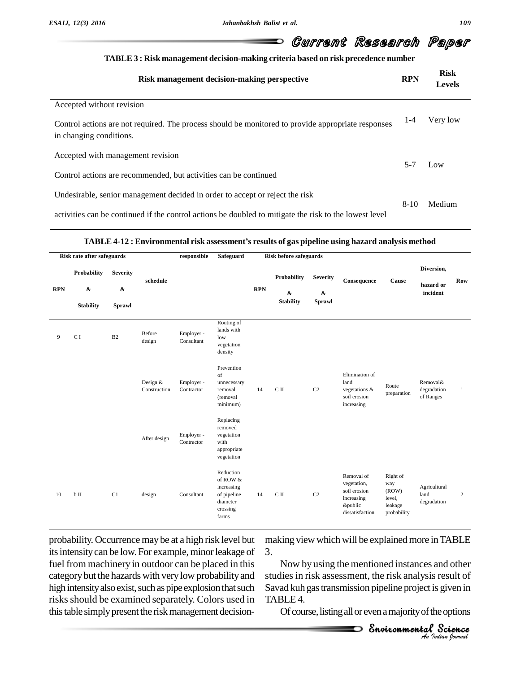#### Current Research Paper D

| TABLE 3 : Risk management decision-making criteria based on risk precedence number |  |
|------------------------------------------------------------------------------------|--|
|                                                                                    |  |

| Risk management decision-making perspective                                                                                   | <b>RPN</b> | <b>Risk</b><br><b>Levels</b> |  |
|-------------------------------------------------------------------------------------------------------------------------------|------------|------------------------------|--|
| Accepted without revision                                                                                                     |            |                              |  |
| Control actions are not required. The process should be monitored to provide appropriate responses<br>in changing conditions. | $1 - 4$    | Very low                     |  |
| Accepted with management revision                                                                                             |            |                              |  |
| Control actions are recommended, but activities can be continued                                                              | $5 - 7$    | Low                          |  |
| Undesirable, senior management decided in order to accept or reject the risk                                                  | $8-10$     | Medium                       |  |
| activities can be continued if the control actions be doubled to mitigate the risk to the lowest level                        |            |                              |  |

#### **TABLE 4-12 : Environmental risk assessmentí<sup>s</sup> results of gas pipeline using hazard analysis method**

| Risk rate after safeguards |                                                      |                                                |                          | responsible              | Safeguard                                                                           |            | <b>Risk before safeguards</b>               |                                                |                                                                                       |                                                              |                                      |              |
|----------------------------|------------------------------------------------------|------------------------------------------------|--------------------------|--------------------------|-------------------------------------------------------------------------------------|------------|---------------------------------------------|------------------------------------------------|---------------------------------------------------------------------------------------|--------------------------------------------------------------|--------------------------------------|--------------|
| <b>RPN</b>                 | <b>Probability</b><br>$\pmb{\&}$<br><b>Stability</b> | <b>Severity</b><br>$\pmb{\&}$<br><b>Sprawl</b> | schedule                 |                          |                                                                                     | <b>RPN</b> | <b>Probability</b><br>&<br><b>Stability</b> | <b>Severity</b><br>$\pmb{\&}$<br><b>Sprawl</b> | Consequence                                                                           | Cause                                                        | Diversion,<br>hazard or<br>incident  | Row          |
| 9                          | C I                                                  | B2                                             | Before<br>design         | Employer -<br>Consultant | Routing of<br>lands with<br>low<br>vegetation<br>density                            |            |                                             |                                                |                                                                                       |                                                              |                                      |              |
|                            |                                                      |                                                | Design &<br>Construction | Employer -<br>Contractor | Prevention<br>of<br>unnecessary<br>removal<br>(removal<br>minimum)                  | 14         | $\mathrm{C}\:\textsc{ii}$                   | C2                                             | Elimination of<br>land<br>vegetations &<br>soil erosion<br>increasing                 | Route<br>preparation                                         | Removal&<br>degradation<br>of Ranges | $\mathbf{1}$ |
|                            |                                                      |                                                | After design             | Employer -<br>Contractor | Replacing<br>removed<br>vegetation<br>with<br>appropriate<br>vegetation             |            |                                             |                                                |                                                                                       |                                                              |                                      |              |
| 10                         | b II                                                 | C1                                             | design                   | Consultant               | Reduction<br>of ROW &<br>increasing<br>of pipeline<br>diameter<br>crossing<br>farms | 14         | $\mathrm{C}\:\textsc{ii}$                   | C2                                             | Removal of<br>vegetation,<br>soil erosion<br>increasing<br>&public<br>dissatisfaction | Right of<br>way<br>(ROW)<br>level,<br>leakage<br>probability | Agricultural<br>land<br>degradation  | 2            |

probability. Occurrence maybe at a high risk level but its intensity can be low. For example, minor leakage of fuel from machinery in outdoor can be placed in this categorybut the hazards with verylow probabilityand high intensity also exist, such as pipe explosion that such risks should be examined separately. Colors used in this table simply present the risk management decisionmaking view which will be explained more in TABLE 3.

Now by using the mentioned instances and other nd other<br>result of<br>sgiven in<br>e options<br>**Science** studies in risk assessment, the risk analysis result of Savad kuh gas transmission pipeline project is given in TABLE 4.

Of course, listing all or even a majority of the options

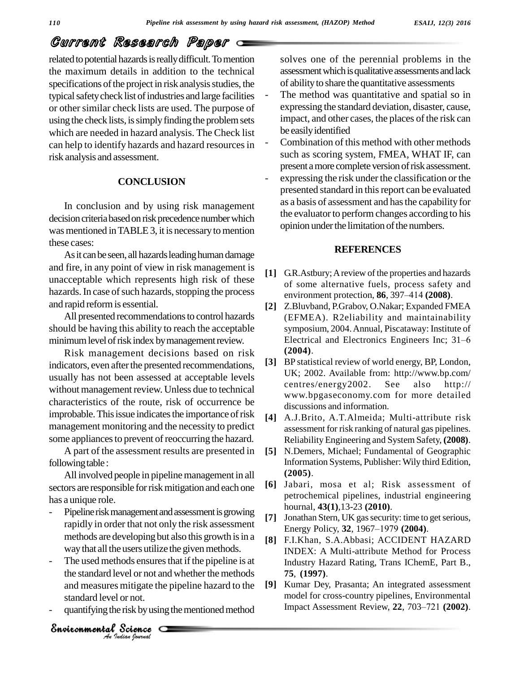# Current Research Paper

related to potential hazards is really difficult. To mention the maximum details in addition to the technical specifications of the project in risk analysis studies, the typical safety check list of industries and large facilities or other similar check lists are used. The purpose of using the check lists, is simply finding the problem sets which are needed in hazard analysis. The Check list can help to identify hazards and hazard resources in risk analysis and assessment.

# **CONCLUSION**

In conclusion and by using risk management decision criteria based on risk precedence number which was mentioned in TABLE 3, it is necessary to mention these cases:

As it can be seen, all hazards leading human damage and fire, in any point of view in risk management is unacceptable which represents high risk of these hazards. In case of such hazards, stopping the process environment protection, 86, 397–414 (2008). and rapid reformis essential.

All presented recommendations to control hazards should be having this ability to reach the acceptable minimum level of risk index by management review.

Risk management decisions based on risk indicators, even after the presented recommendations, usually has not been assessed at acceptable levels without management review. Unless due to technical characteristics of the route, risk of occurrence be improbable. This issue indicates the importance of risk management monitoring and the necessity to predict some appliances to prevent of reoccurring the hazard.

A part of the assessment results are presented in following table :

All involved people in pipeline management in all sectors are responsible for risk mitigation and each one has a unique role.

- Pipeline risk management and assessment is growing rapidly in order that not only the risk assessment rapidly in order that not only the risk assessment<br>methods are developing but also this growth is in a  $\overline{B}$   $\overline{B}$   $\overline{B}$   $\overline{B}$   $\overline{B}$   $\overline{B}$   $\overline{B}$   $\overline{B}$   $\overline{B}$   $\overline{B}$   $\overline{B}$   $\overline{B}$   $\overline{B}$  way that all the users utilize the given methods.
- The used methods ensures that if the pipeline is at<br>the standard level or not and whether the methods<br>and measures mitigate the pipeline hazard to the [9]<br>standard level or not.<br>quantifying the risk by using the mentioned the standard level or not and whether the methods and measures mitigate the pipeline hazard to the standard level or not.
- 

*Indian Journal*

solves one of the perennial problems in the assessment which is qualitative assessments and lack of abilityto share the quantitative assessments

- The method was quantitative and spatial so in expressing the standard deviation, disaster, cause, impact, and other cases, the places of the risk can be easilyidentified
- Combination of this method with other methods such as scoring system, FMEA, WHAT IF, can present a more complete version of risk assessment.
- expressing the risk under the classification or the presented standard in this report can be evaluated as a basis of assessment and hasthe capability for the evaluator to perform changes according to his opinion under the limitation of the numbers.

# **REFERENCES**

- **[1]** G.R.Astbury;Areview of the properties and hazards of some alternative fuels, process safety and G.R. Astbury; A review of the properties and hazards<br>of some alternative fuels, process safety and<br>environment protection, **86**, 397–414 (2008).
- **[2]** Z.Bluvband, P.Grabov, O.Nakar; Expanded FMEA (EFMEA). R2eliability and maintainability<br>symposium, 2004. Annual, Piscataway: Institute of<br>Electrical and Electronics Engineers Inc; 31–6 symposium, 2004.Annual, Piscataway: Institute of **(2004)**.
- **[3]** BP statistical review of world energy, BP, London, UK; 2002. Available from: <http://www.bp.com/> centres/energy2002. See also <http://> [www.bpgaseconomy.com](http://www.bpgaseconomy.com) for more detailed discussions and information.
- **[4]** A.J.Brito, A.T.Almeida; Multi-attribute risk assessment for risk ranking of natural gas pipelines. Reliability Engineering and System Safety, **(2008)**.
- **[5]** N.Demers, Michael; Fundamental of Geographic Information Systems, Publisher: Wily third Edition, **(2005)**.
- **[6]** Jabari, mosa et al; Risk assessment of petrochemical pipelines, industrial engineering hournal, **43(1)**,13-23 **(2010)**.
- [7] Jonathan Stern, UK gas security: time to get serious, hournal, **43**(1),13-23 (**2010**).<br>Jonathan Stern, UK gas security: time to get s<br>Energy Policy, **32**, 1967–1979 (**2004**).
- **[8]** F.I.Khan, S.A.Abbasi; ACCIDENT HAZARD INDEX: A Multi-attribute Method for Process Industry Hazard Rating, Trans IChemE, Part B., **75**, **(1997)**.
- quantifying the risk by using the mentioned method Impact Assessment Review, 22, 703-721 (2002). **[9]** Kumar Dey, Prasanta; An integrated assessment model for cross-country pipelines, Environmental Impact Assessment Review, 22, 703–721 (2002). model for cross-country pipelines, Environmental